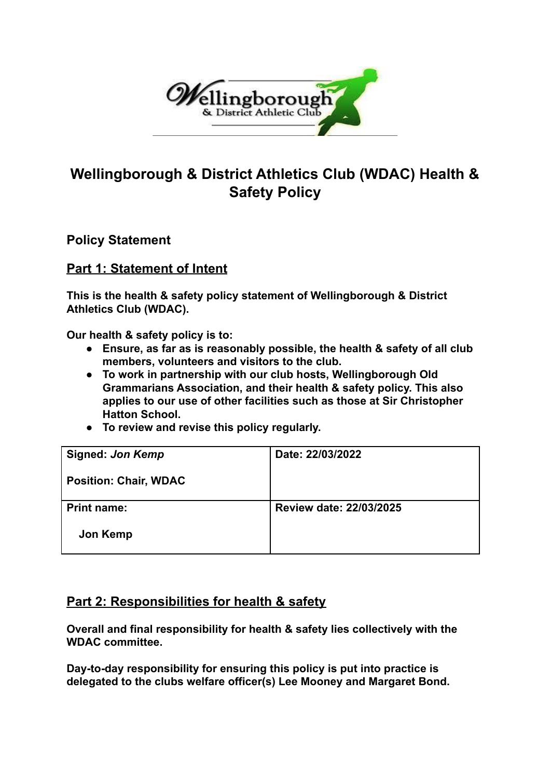

## **Wellingborough & District Athletics Club (WDAC) Health & Safety Policy**

**Policy Statement**

## **Part 1: Statement of Intent**

**This is the health & safety policy statement of Wellingborough & District Athletics Club (WDAC).**

**Our health & safety policy is to:**

- **● Ensure, as far as is reasonably possible, the health & safety of all club members, volunteers and visitors to the club.**
- **● To work in partnership with our club hosts, Wellingborough Old Grammarians Association, and their health & safety policy. This also applies to our use of other facilities such as those at Sir Christopher Hatton School.**
- **● To review and revise this policy regularly.**

| <b>Signed: Jon Kemp</b>      | Date: 22/03/2022        |
|------------------------------|-------------------------|
| <b>Position: Chair, WDAC</b> |                         |
| <b>Print name:</b>           | Review date: 22/03/2025 |
| Jon Kemp                     |                         |

## **Part 2: Responsibilities for health & safety**

**Overall and final responsibility for health & safety lies collectively with the WDAC committee.**

**Day-to-day responsibility for ensuring this policy is put into practice is delegated to the clubs welfare officer(s) Lee Mooney and Margaret Bond.**